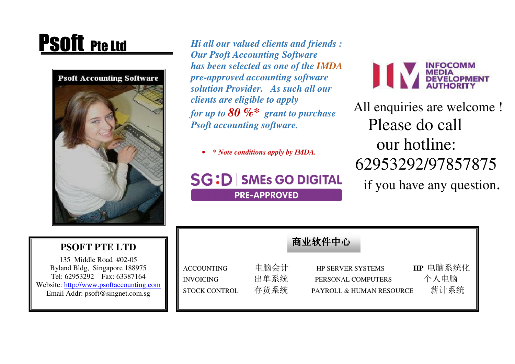

**PSOft Pte Ltd** *Hi all our valued clients and friends : Our Psoft Accounting Software has been selected as one of the IMDApre-approved accounting software solution Provider. As such all our clients are eligible to apply for up to 80 %\* grant to purchase Psoft accounting software.* 

> •*\* Note conditions apply by IMDA.*

## **SG:D SMEs GO DIGITAL PRE-APPROVED**



 All enquiries are welcome ! Please do call our hotline: 62953292/97857875 if you have any question.

| <b>PSOFT PTE LTD</b>                                                                                                                                                  |                                                               |                      | 商业软件中心                                                                     |                          |
|-----------------------------------------------------------------------------------------------------------------------------------------------------------------------|---------------------------------------------------------------|----------------------|----------------------------------------------------------------------------|--------------------------|
| 135 Middle Road #02-05<br>Byland Bldg, Singapore 188975<br>Tel: 62953292 Fax: 63387164<br>Website: http://www.psoftaccounting.com<br>Email Addr: psoft@singnet.com.sg | <b>ACCOUNTING</b><br><b>INVOICING</b><br><b>STOCK CONTROL</b> | 电脑会计<br>出单系统<br>存货系统 | <b>HP SERVER SYSTEMS</b><br>PERSONAL COMPUTERS<br>PAYROLL & HUMAN RESOURCE | HP 电脑系统化<br>个人电脑<br>薪计系统 |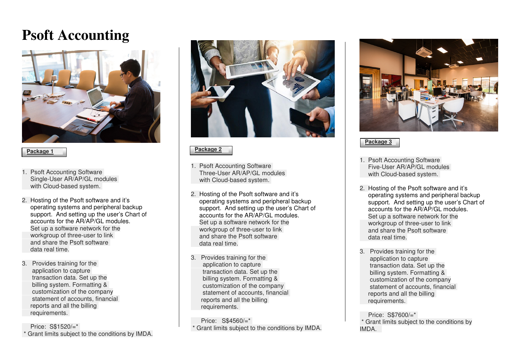# **Psoft Accounting**



#### **Package 1**

- 1. Psoft Accounting Software Single-User AR/AP/GL modules with Cloud-based system.
- 2. Hosting of the Psoft software and it's operating systems and peripheral backup support. And setting up the user's Chart of accounts for the AR/AP/GL modules. Set up a software network for the workgroup of three-user to link and share the Psoft software data real time.
- 3. Provides training for the application to capture transaction data. Set up the billing system. Formatting & customization of the company statement of accounts, financial reports and all the billing requirements.

 Price: S\$1520/=\* \* Grant limits subject to the conditions by IMDA.



### **Package 2**

- 1. Psoft Accounting Software Three-User AR/AP/GL modules with Cloud-based system.
- 2. Hosting of the Psoft software and it's operating systems and peripheral backup support. And setting up the user's Chart of accounts for the AR/AP/GL modules. Set up a software network for the workgroup of three-user to link and share the Psoft software data real time.
- 3. Provides training for the application to capture transaction data. Set up the billing system. Formatting & customization of the company statement of accounts, financial reports and all the billing requirements.

 Price: S\$4560/=\* \* Grant limits subject to the conditions by IMDA.



## **Package 3**

- 1. Psoft Accounting Software Five-User AR/AP/GL modules with Cloud-based system.
- 2. Hosting of the Psoft software and it's operating systems and peripheral backup support. And setting up the user's Chart of accounts for the AR/AP/GL modules. Set up a software network for the workgroup of three-user to link and share the Psoft software data real time.
- 3. Provides training for the application to capture transaction data. Set up the billing system. Formatting & customization of the company statement of accounts, financial reports and all the billing requirements.

 Price: S\$7600/=\* \* Grant limits subject to the conditions by IMDA.